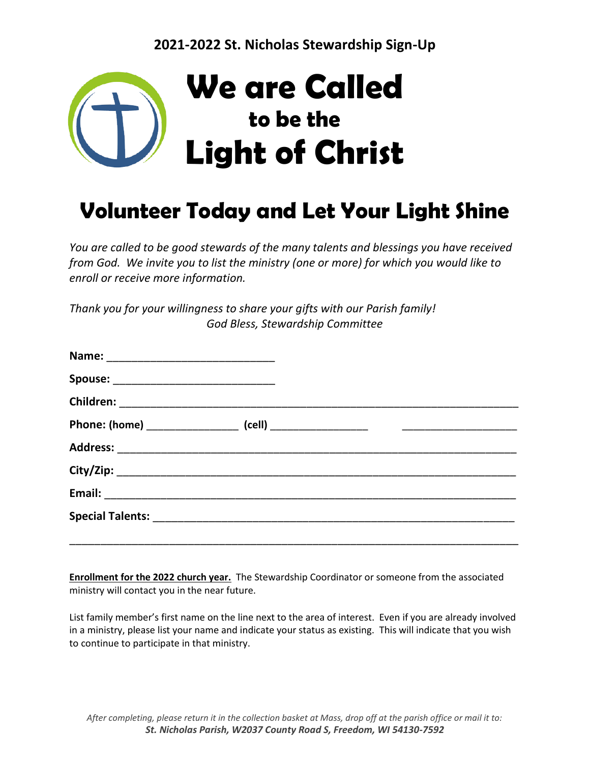

# **Volunteer Today and Let Your Light Shine**

*You are called to be good stewards of the many talents and blessings you have received from God. We invite you to list the ministry (one or more) for which you would like to enroll or receive more information.*

*Thank you for your willingness to share your gifts with our Parish family! God Bless, Stewardship Committee*

| Spouse: ________________________________ |  |  |
|------------------------------------------|--|--|
|                                          |  |  |
|                                          |  |  |
|                                          |  |  |
|                                          |  |  |
|                                          |  |  |
|                                          |  |  |
|                                          |  |  |

**Enrollment for the 2022 church year.** The Stewardship Coordinator or someone from the associated ministry will contact you in the near future.

List family member's first name on the line next to the area of interest. Even if you are already involved in a ministry, please list your name and indicate your status as existing. This will indicate that you wish to continue to participate in that ministry.

*After completing, please return it in the collection basket at Mass, drop off at the parish office or mail it to: St. Nicholas Parish, W2037 County Road S, Freedom, WI 54130-7592*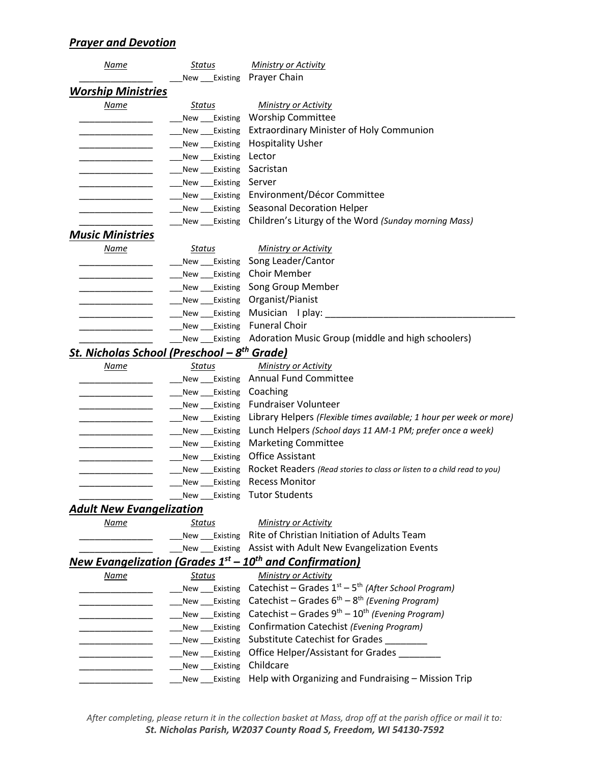## *Prayer and Devotion*

| Name                                                    | Status                    | <b>Ministry or Activity</b>                                                            |
|---------------------------------------------------------|---------------------------|----------------------------------------------------------------------------------------|
|                                                         | New Existing Prayer Chain |                                                                                        |
| <b>Worship Ministries</b>                               |                           |                                                                                        |
| Name                                                    | <u>Status</u>             | <b>Ministry or Activity</b>                                                            |
|                                                         |                           | New Existing Worship Committee                                                         |
|                                                         |                           | New ___Existing Extraordinary Minister of Holy Communion                               |
|                                                         | New ___ Existing          | <b>Hospitality Usher</b>                                                               |
|                                                         | New ___Existing           | Lector                                                                                 |
|                                                         | New ___ Existing          | Sacristan                                                                              |
|                                                         | New Existing Server       |                                                                                        |
|                                                         |                           | New Existing Environment/Décor Committee                                               |
|                                                         |                           | New Existing Seasonal Decoration Helper                                                |
|                                                         |                           | New ___Existing Children's Liturgy of the Word (Sunday morning Mass)                   |
| <b>Music Ministries</b>                                 |                           |                                                                                        |
| Name                                                    | Status                    | <b>Ministry or Activity</b>                                                            |
|                                                         |                           | New Existing Song Leader/Cantor                                                        |
|                                                         |                           | New ___Existing Choir Member                                                           |
|                                                         |                           | New ___Existing Song Group Member                                                      |
|                                                         |                           | New Existing Organist/Pianist                                                          |
|                                                         |                           | New Existing Musician I play:                                                          |
|                                                         | New ___ Existing          | <b>Funeral Choir</b>                                                                   |
|                                                         |                           | New ___Existing Adoration Music Group (middle and high schoolers)                      |
| St. Nicholas School (Preschool – 8 <sup>th</sup> Grade) |                           |                                                                                        |
| <u>Name</u>                                             | Status                    | <b>Ministry or Activity</b>                                                            |
|                                                         |                           | New Existing Annual Fund Committee                                                     |
|                                                         | New Existing Coaching     |                                                                                        |
|                                                         |                           | New ___Existing Fundraiser Volunteer                                                   |
|                                                         |                           | New _____ Existing Library Helpers (Flexible times available; 1 hour per week or more) |
|                                                         |                           | New ___Existing Lunch Helpers (School days 11 AM-1 PM; prefer once a week)             |
|                                                         |                           | New Existing Marketing Committee                                                       |
|                                                         | New Existing              | <b>Office Assistant</b>                                                                |
|                                                         | New Existing              | Rocket Readers (Read stories to class or listen to a child read to you)                |
|                                                         | New ___Existing           | <b>Recess Monitor</b>                                                                  |
|                                                         |                           | New Existing Tutor Students                                                            |
| <b>Adult New Evangelization</b>                         |                           |                                                                                        |
| Name                                                    | <b>Status</b>             | <b>Ministry or Activity</b>                                                            |
|                                                         |                           | New Existing Rite of Christian Initiation of Adults Team                               |
|                                                         |                           | New ___ Existing Assist with Adult New Evangelization Events                           |
|                                                         |                           | <u>New Evangelization (Grades 1<sup>st</sup> – 10<sup>th</sup> and Confirmation)</u>   |
| Name                                                    | <b>Status</b>             | <b>Ministry or Activity</b>                                                            |
|                                                         | New ___Existing           | Catechist – Grades $1st$ – 5 <sup>th</sup> (After School Program)                      |
|                                                         | New ___ Existing          | Catechist – Grades $6^{th}$ – $8^{th}$ (Evening Program)                               |
|                                                         | New Existing              | Catechist – Grades $9^{th}$ – $10^{th}$ (Evening Program)                              |
|                                                         | New Existing              | Confirmation Catechist (Evening Program)                                               |
|                                                         |                           | New ____Existing Substitute Catechist for Grades _________                             |
|                                                         | Existing<br>New           | Office Helper/Assistant for Grades _____                                               |
|                                                         | New Existing              | Childcare                                                                              |
|                                                         | Existing<br>New           | Help with Organizing and Fundraising - Mission Trip                                    |

*After completing, please return it in the collection basket at Mass, drop off at the parish office or mail it to: St. Nicholas Parish, W2037 County Road S, Freedom, WI 54130-7592*